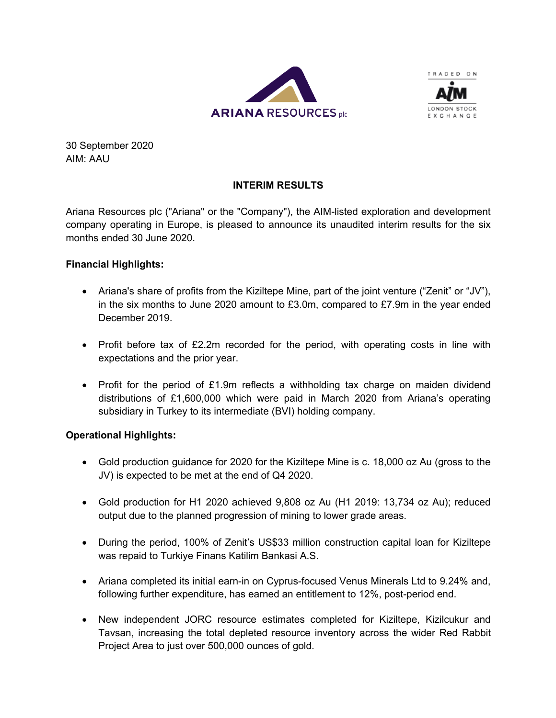



30 September 2020 AIM: AAU

# **INTERIM RESULTS**

Ariana Resources plc ("Ariana" or the "Company"), the AIM-listed exploration and development company operating in Europe, is pleased to announce its unaudited interim results for the six months ended 30 June 2020.

## **Financial Highlights:**

- Ariana's share of profits from the Kiziltepe Mine, part of the joint venture ("Zenit" or "JV"), in the six months to June 2020 amount to  $£3.0m$ , compared to  $£7.9m$  in the year ended December 2019.
- Profit before tax of £2.2m recorded for the period, with operating costs in line with expectations and the prior year.
- Profit for the period of £1.9m reflects a withholding tax charge on maiden dividend distributions of £1,600,000 which were paid in March 2020 from Ariana's operating subsidiary in Turkey to its intermediate (BVI) holding company.

## **Operational Highlights:**

- Gold production guidance for 2020 for the Kiziltepe Mine is c. 18,000 oz Au (gross to the JV) is expected to be met at the end of Q4 2020.
- Gold production for H1 2020 achieved 9,808 oz Au (H1 2019: 13,734 oz Au); reduced output due to the planned progression of mining to lower grade areas.
- During the period, 100% of Zenit's US\$33 million construction capital loan for Kiziltepe was repaid to Turkiye Finans Katilim Bankasi A.S.
- Ariana completed its initial earn-in on Cyprus-focused Venus Minerals Ltd to 9.24% and, following further expenditure, has earned an entitlement to 12%, post-period end.
- New independent JORC resource estimates completed for Kiziltepe, Kizilcukur and Tavsan, increasing the total depleted resource inventory across the wider Red Rabbit Project Area to just over 500,000 ounces of gold.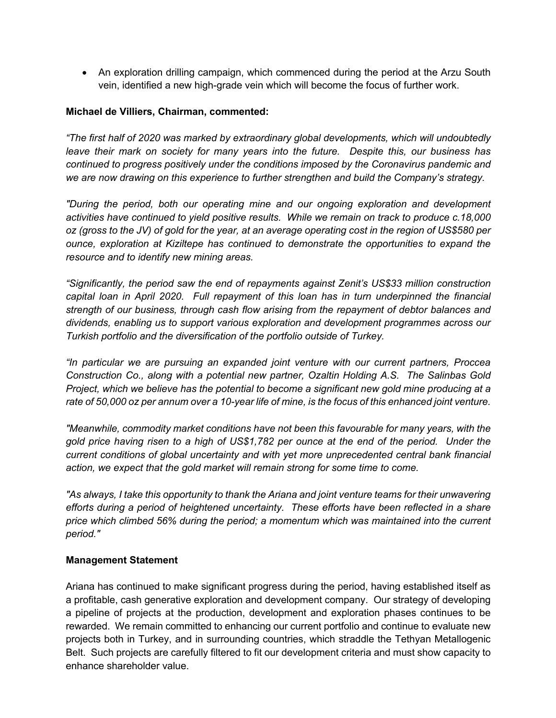• An exploration drilling campaign, which commenced during the period at the Arzu South vein, identified a new high-grade vein which will become the focus of further work.

## **Michael de Villiers, Chairman, commented:**

*"The first half of 2020 was marked by extraordinary global developments, which will undoubtedly leave their mark on society for many years into the future. Despite this, our business has continued to progress positively under the conditions imposed by the Coronavirus pandemic and we are now drawing on this experience to further strengthen and build the Company's strategy.*

*"During the period, both our operating mine and our ongoing exploration and development activities have continued to yield positive results. While we remain on track to produce c.18,000 oz (gross to the JV) of gold for the year, at an average operating cost in the region of US\$580 per ounce, exploration at Kiziltepe has continued to demonstrate the opportunities to expand the resource and to identify new mining areas.*

*"Significantly, the period saw the end of repayments against Zenit's US\$33 million construction capital loan in April 2020. Full repayment of this loan has in turn underpinned the financial strength of our business, through cash flow arising from the repayment of debtor balances and dividends, enabling us to support various exploration and development programmes across our Turkish portfolio and the diversification of the portfolio outside of Turkey.*

*"In particular we are pursuing an expanded joint venture with our current partners, Proccea Construction Co., along with a potential new partner, Ozaltin Holding A.S. The Salinbas Gold Project, which we believe has the potential to become a significant new gold mine producing at a rate of 50,000 oz per annum over a 10-year life of mine, is the focus of this enhanced joint venture.* 

*"Meanwhile, commodity market conditions have not been this favourable for many years, with the gold price having risen to a high of US\$1,782 per ounce at the end of the period. Under the current conditions of global uncertainty and with yet more unprecedented central bank financial action, we expect that the gold market will remain strong for some time to come.*

*"As always, I take this opportunity to thank the Ariana and joint venture teams for their unwavering efforts during a period of heightened uncertainty. These efforts have been reflected in a share price which climbed 56% during the period; a momentum which was maintained into the current period."*

## **Management Statement**

Ariana has continued to make significant progress during the period, having established itself as a profitable, cash generative exploration and development company. Our strategy of developing a pipeline of projects at the production, development and exploration phases continues to be rewarded. We remain committed to enhancing our current portfolio and continue to evaluate new projects both in Turkey, and in surrounding countries, which straddle the Tethyan Metallogenic Belt. Such projects are carefully filtered to fit our development criteria and must show capacity to enhance shareholder value.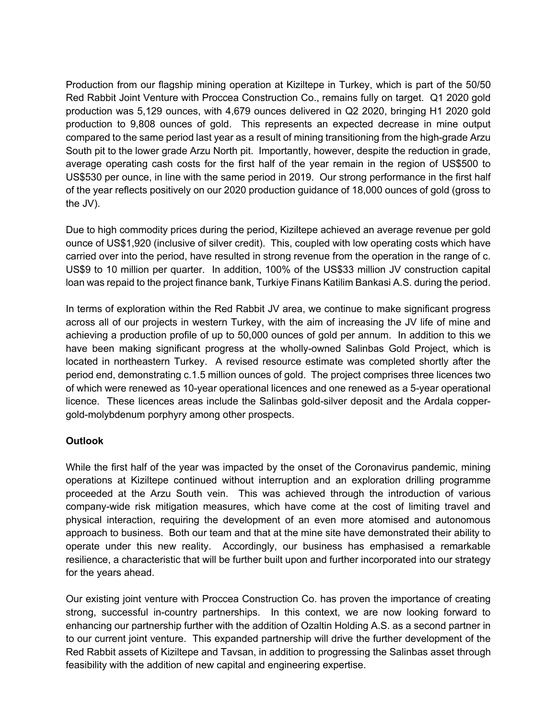Production from our flagship mining operation at Kiziltepe in Turkey, which is part of the 50/50 Red Rabbit Joint Venture with Proccea Construction Co., remains fully on target. Q1 2020 gold production was 5,129 ounces, with 4,679 ounces delivered in Q2 2020, bringing H1 2020 gold production to 9,808 ounces of gold. This represents an expected decrease in mine output compared to the same period last year as a result of mining transitioning from the high-grade Arzu South pit to the lower grade Arzu North pit. Importantly, however, despite the reduction in grade, average operating cash costs for the first half of the year remain in the region of US\$500 to US\$530 per ounce, in line with the same period in 2019. Our strong performance in the first half of the year reflects positively on our 2020 production guidance of 18,000 ounces of gold (gross to the JV).

Due to high commodity prices during the period, Kiziltepe achieved an average revenue per gold ounce of US\$1,920 (inclusive of silver credit). This, coupled with low operating costs which have carried over into the period, have resulted in strong revenue from the operation in the range of c. US\$9 to 10 million per quarter. In addition, 100% of the US\$33 million JV construction capital loan was repaid to the project finance bank, Turkiye Finans Katilim Bankasi A.S. during the period.

In terms of exploration within the Red Rabbit JV area, we continue to make significant progress across all of our projects in western Turkey, with the aim of increasing the JV life of mine and achieving a production profile of up to 50,000 ounces of gold per annum. In addition to this we have been making significant progress at the wholly-owned Salinbas Gold Project, which is located in northeastern Turkey. A revised resource estimate was completed shortly after the period end, demonstrating c.1.5 million ounces of gold. The project comprises three licences two of which were renewed as 10-year operational licences and one renewed as a 5-year operational licence. These licences areas include the Salinbas gold-silver deposit and the Ardala coppergold-molybdenum porphyry among other prospects.

## **Outlook**

While the first half of the year was impacted by the onset of the Coronavirus pandemic, mining operations at Kiziltepe continued without interruption and an exploration drilling programme proceeded at the Arzu South vein. This was achieved through the introduction of various company-wide risk mitigation measures, which have come at the cost of limiting travel and physical interaction, requiring the development of an even more atomised and autonomous approach to business. Both our team and that at the mine site have demonstrated their ability to operate under this new reality. Accordingly, our business has emphasised a remarkable resilience, a characteristic that will be further built upon and further incorporated into our strategy for the years ahead.

Our existing joint venture with Proccea Construction Co. has proven the importance of creating strong, successful in-country partnerships. In this context, we are now looking forward to enhancing our partnership further with the addition of Ozaltin Holding A.S. as a second partner in to our current joint venture. This expanded partnership will drive the further development of the Red Rabbit assets of Kiziltepe and Tavsan, in addition to progressing the Salinbas asset through feasibility with the addition of new capital and engineering expertise.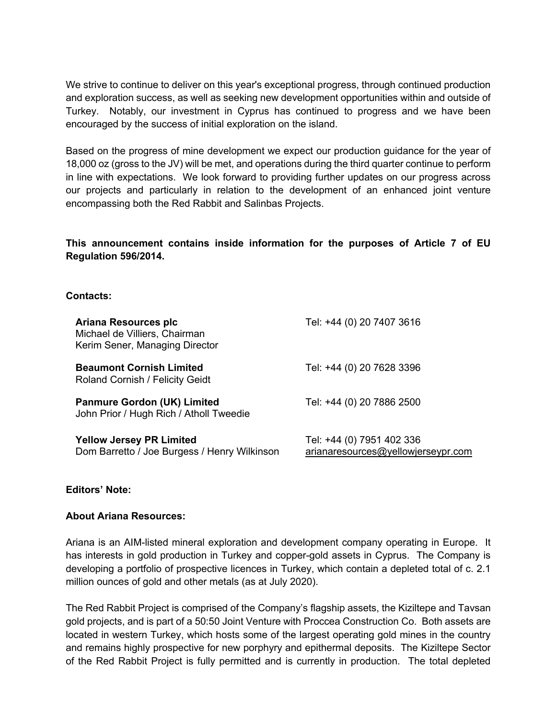We strive to continue to deliver on this year's exceptional progress, through continued production and exploration success, as well as seeking new development opportunities within and outside of Turkey. Notably, our investment in Cyprus has continued to progress and we have been encouraged by the success of initial exploration on the island.

Based on the progress of mine development we expect our production guidance for the year of 18,000 oz (gross to the JV) will be met, and operations during the third quarter continue to perform in line with expectations. We look forward to providing further updates on our progress across our projects and particularly in relation to the development of an enhanced joint venture encompassing both the Red Rabbit and Salinbas Projects.

**This announcement contains inside information for the purposes of Article 7 of EU Regulation 596/2014.**

## **Contacts:**

| Ariana Resources plc<br>Michael de Villiers, Chairman<br>Kerim Sener, Managing Director | Tel: +44 (0) 20 7407 3616                                       |
|-----------------------------------------------------------------------------------------|-----------------------------------------------------------------|
| <b>Beaumont Cornish Limited</b><br>Roland Cornish / Felicity Geidt                      | Tel: +44 (0) 20 7628 3396                                       |
| <b>Panmure Gordon (UK) Limited</b><br>John Prior / Hugh Rich / Atholl Tweedie           | Tel: +44 (0) 20 7886 2500                                       |
| <b>Yellow Jersey PR Limited</b><br>Dom Barretto / Joe Burgess / Henry Wilkinson         | Tel: +44 (0) 7951 402 336<br>arianaresources@yellowjerseypr.com |

## **Editors' Note:**

## **About Ariana Resources:**

Ariana is an AIM-listed mineral exploration and development company operating in Europe. It has interests in gold production in Turkey and copper-gold assets in Cyprus. The Company is developing a portfolio of prospective licences in Turkey, which contain a depleted total of c. 2.1 million ounces of gold and other metals (as at July 2020).

The Red Rabbit Project is comprised of the Company's flagship assets, the Kiziltepe and Tavsan gold projects, and is part of a 50:50 Joint Venture with Proccea Construction Co. Both assets are located in western Turkey, which hosts some of the largest operating gold mines in the country and remains highly prospective for new porphyry and epithermal deposits. The Kiziltepe Sector of the Red Rabbit Project is fully permitted and is currently in production. The total depleted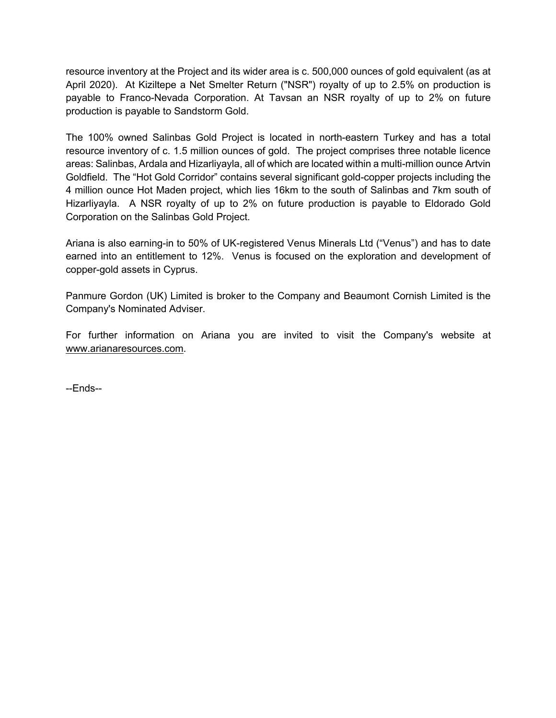resource inventory at the Project and its wider area is c. 500,000 ounces of gold equivalent (as at April 2020). At Kiziltepe a Net Smelter Return ("NSR") royalty of up to 2.5% on production is payable to Franco-Nevada Corporation. At Tavsan an NSR royalty of up to 2% on future production is payable to Sandstorm Gold.

The 100% owned Salinbas Gold Project is located in north-eastern Turkey and has a total resource inventory of c. 1.5 million ounces of gold. The project comprises three notable licence areas: Salinbas, Ardala and Hizarliyayla, all of which are located within a multi-million ounce Artvin Goldfield. The "Hot Gold Corridor" contains several significant gold-copper projects including the 4 million ounce Hot Maden project, which lies 16km to the south of Salinbas and 7km south of Hizarliyayla. A NSR royalty of up to 2% on future production is payable to Eldorado Gold Corporation on the Salinbas Gold Project.

Ariana is also earning-in to 50% of UK-registered Venus Minerals Ltd ("Venus") and has to date earned into an entitlement to 12%. Venus is focused on the exploration and development of copper-gold assets in Cyprus.

Panmure Gordon (UK) Limited is broker to the Company and Beaumont Cornish Limited is the Company's Nominated Adviser.

For further information on Ariana you are invited to visit the Company's website at www.arianaresources.com.

--Ends--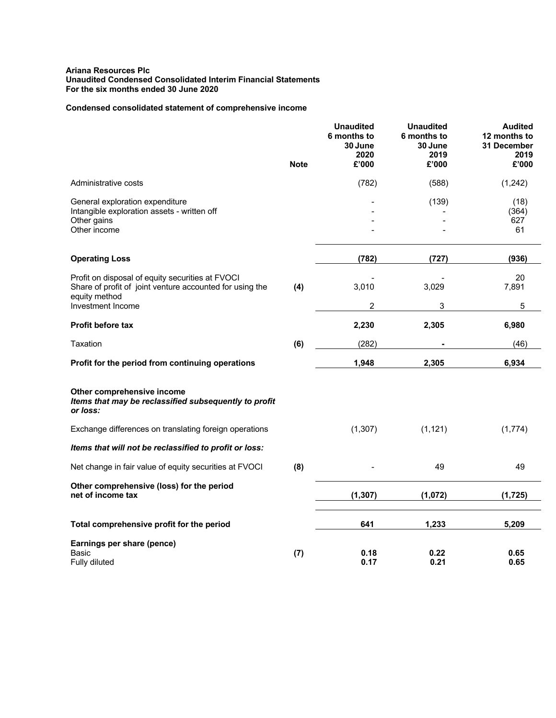#### **Ariana Resources Plc Unaudited Condensed Consolidated Interim Financial Statements For the six months ended 30 June 2020**

### **Condensed consolidated statement of comprehensive income**

|                                                                                                                               | <b>Note</b> | <b>Unaudited</b><br>6 months to<br>30 June<br>2020<br>£'000 | <b>Unaudited</b><br>6 months to<br>30 June<br>2019<br>£'000 | <b>Audited</b><br>12 months to<br>31 December<br>2019<br>£'000 |
|-------------------------------------------------------------------------------------------------------------------------------|-------------|-------------------------------------------------------------|-------------------------------------------------------------|----------------------------------------------------------------|
| Administrative costs                                                                                                          |             | (782)                                                       | (588)                                                       | (1,242)                                                        |
| General exploration expenditure<br>Intangible exploration assets - written off<br>Other gains<br>Other income                 |             |                                                             | (139)                                                       | (18)<br>(364)<br>627<br>61                                     |
| <b>Operating Loss</b>                                                                                                         |             | (782)                                                       | (727)                                                       | (936)                                                          |
| Profit on disposal of equity securities at FVOCI<br>Share of profit of joint venture accounted for using the<br>equity method | (4)         | 3,010                                                       | 3,029                                                       | 20<br>7,891                                                    |
| Investment Income                                                                                                             |             | 2                                                           | 3                                                           | 5                                                              |
| <b>Profit before tax</b>                                                                                                      |             | 2,230                                                       | 2,305                                                       | 6,980                                                          |
| Taxation                                                                                                                      | (6)         | (282)                                                       |                                                             | (46)                                                           |
| Profit for the period from continuing operations                                                                              |             | 1,948                                                       | 2,305                                                       | 6,934                                                          |
| Other comprehensive income<br>Items that may be reclassified subsequently to profit<br>or loss:                               |             |                                                             |                                                             |                                                                |
| Exchange differences on translating foreign operations                                                                        |             | (1,307)                                                     | (1, 121)                                                    | (1,774)                                                        |
| Items that will not be reclassified to profit or loss:                                                                        |             |                                                             |                                                             |                                                                |
| Net change in fair value of equity securities at FVOCI                                                                        | (8)         |                                                             | 49                                                          | 49                                                             |
| Other comprehensive (loss) for the period<br>net of income tax                                                                |             | (1, 307)                                                    | (1,072)                                                     | (1, 725)                                                       |
| Total comprehensive profit for the period                                                                                     |             | 641                                                         | 1,233                                                       | 5,209                                                          |
| Earnings per share (pence)<br>Basic<br>Fully diluted                                                                          | (7)         | 0.18<br>0.17                                                | 0.22<br>0.21                                                | 0.65<br>0.65                                                   |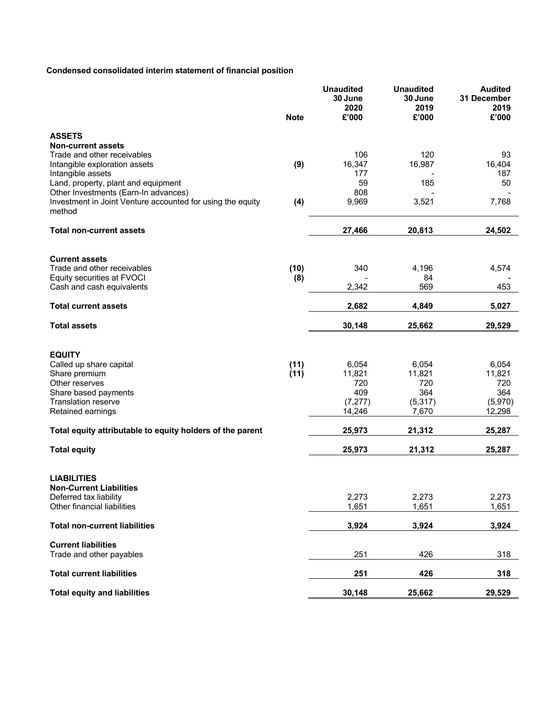# **Condensed consolidated interim statement of financial position**

|                                                                      | <b>Note</b> | <b>Unaudited</b><br>30 June<br>2020<br>£'000 | <b>Unaudited</b><br>30 June<br>2019<br>£'000 | <b>Audited</b><br>31 December<br>2019<br>£'000 |
|----------------------------------------------------------------------|-------------|----------------------------------------------|----------------------------------------------|------------------------------------------------|
| <b>ASSETS</b>                                                        |             |                                              |                                              |                                                |
| <b>Non-current assets</b>                                            |             |                                              |                                              |                                                |
| Trade and other receivables                                          | (9)         | 106<br>16,347                                | 120<br>16,987                                | 93<br>16,404                                   |
| Intangible exploration assets<br>Intangible assets                   |             | 177                                          |                                              | 187                                            |
| Land, property, plant and equipment                                  |             | 59                                           | 185                                          | 50                                             |
| Other Investments (Earn-In advances)                                 |             | 808                                          |                                              |                                                |
| Investment in Joint Venture accounted for using the equity<br>method | (4)         | 9,969                                        | 3,521                                        | 7,768                                          |
| <b>Total non-current assets</b>                                      |             | 27,466                                       | 20,813                                       | 24,502                                         |
|                                                                      |             |                                              |                                              |                                                |
| <b>Current assets</b>                                                |             |                                              |                                              |                                                |
| Trade and other receivables<br>Equity securities at FVOCI            | (10)<br>(8) | 340                                          | 4,196<br>84                                  | 4,574                                          |
| Cash and cash equivalents                                            |             | 2,342                                        | 569                                          | 453                                            |
| <b>Total current assets</b>                                          |             | 2,682                                        | 4,849                                        | 5,027                                          |
| <b>Total assets</b>                                                  |             | 30,148                                       | 25,662                                       | 29,529                                         |
|                                                                      |             |                                              |                                              |                                                |
| <b>EQUITY</b>                                                        |             |                                              |                                              |                                                |
| Called up share capital                                              | (11)        | 6,054                                        | 6,054                                        | 6,054                                          |
| Share premium                                                        | (11)        | 11,821                                       | 11,821                                       | 11,821                                         |
| Other reserves<br>Share based payments                               |             | 720<br>409                                   | 720<br>364                                   | 720<br>364                                     |
| <b>Translation reserve</b>                                           |             | (7, 277)                                     | (5, 317)                                     | (5,970)                                        |
| Retained earnings                                                    |             | 14,246                                       | 7,670                                        | 12,298                                         |
| Total equity attributable to equity holders of the parent            |             | 25,973                                       | 21,312                                       | 25,287                                         |
| <b>Total equity</b>                                                  |             | 25,973                                       | 21,312                                       | 25,287                                         |
|                                                                      |             |                                              |                                              |                                                |
| <b>LIABILITIES</b>                                                   |             |                                              |                                              |                                                |
| <b>Non-Current Liabilities</b>                                       |             |                                              |                                              |                                                |
| Deferred tax liability<br>Other financial liabilities                |             | 2,273<br>1,651                               | 2,273<br>1,651                               | 2,273<br>1,651                                 |
|                                                                      |             |                                              |                                              |                                                |
| <b>Total non-current liabilities</b>                                 |             | 3,924                                        | 3,924                                        | 3,924                                          |
| <b>Current liabilities</b>                                           |             |                                              |                                              |                                                |
| Trade and other payables                                             |             | 251                                          | 426                                          | 318                                            |
| <b>Total current liabilities</b>                                     |             | 251                                          | 426                                          | 318                                            |
| <b>Total equity and liabilities</b>                                  |             | 30,148                                       | 25,662                                       | 29,529                                         |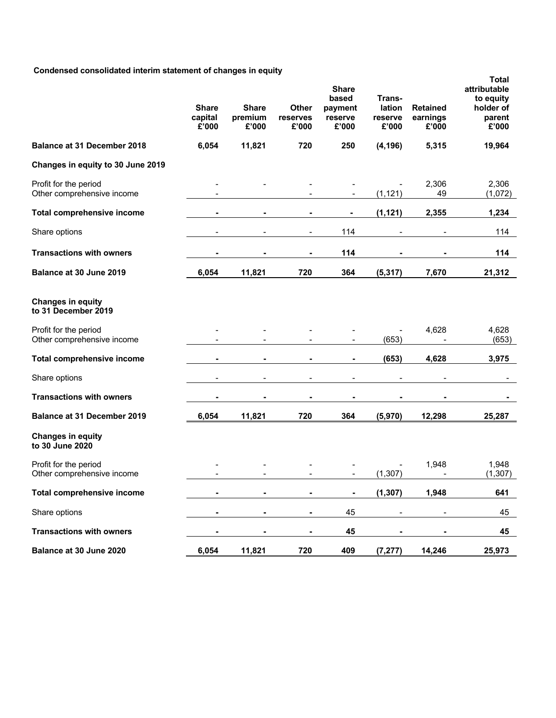## **Condensed consolidated interim statement of changes in equity**

| sea consonaatoa mtorim otatomont or onang           | <b>Share</b><br>capital<br>£'000 | <b>Share</b><br>premium<br>£'000 | Other<br>reserves<br>£'000 | <b>Share</b><br>based<br>payment<br>reserve<br>£'000 | Trans-<br>lation<br>reserve<br>£'000 | <b>Retained</b><br>earnings<br>£'000 | <b>Total</b><br>attributable<br>to equity<br>holder of<br>parent<br>£'000 |
|-----------------------------------------------------|----------------------------------|----------------------------------|----------------------------|------------------------------------------------------|--------------------------------------|--------------------------------------|---------------------------------------------------------------------------|
| <b>Balance at 31 December 2018</b>                  | 6,054                            | 11,821                           | 720                        | 250                                                  | (4, 196)                             | 5,315                                | 19,964                                                                    |
| Changes in equity to 30 June 2019                   |                                  |                                  |                            |                                                      |                                      |                                      |                                                                           |
| Profit for the period<br>Other comprehensive income |                                  |                                  |                            |                                                      | (1, 121)                             | 2,306<br>49                          | 2,306<br>(1,072)                                                          |
| <b>Total comprehensive income</b>                   |                                  |                                  |                            | $\blacksquare$                                       | (1, 121)                             | 2,355                                | 1,234                                                                     |
| Share options                                       |                                  |                                  |                            | 114                                                  |                                      |                                      | 114                                                                       |
| <b>Transactions with owners</b>                     |                                  |                                  |                            | 114                                                  |                                      |                                      | 114                                                                       |
| Balance at 30 June 2019                             | 6,054                            | 11,821                           | 720                        | 364                                                  | (5, 317)                             | 7,670                                | 21,312                                                                    |
| <b>Changes in equity</b><br>to 31 December 2019     |                                  |                                  |                            |                                                      |                                      |                                      |                                                                           |
| Profit for the period<br>Other comprehensive income |                                  |                                  |                            |                                                      | (653)                                | 4,628                                | 4,628<br>(653)                                                            |
| <b>Total comprehensive income</b>                   |                                  | ۰                                | ٠                          | ۰                                                    | (653)                                | 4,628                                | 3,975                                                                     |
| Share options                                       |                                  | -                                | $\overline{a}$             | $\overline{\phantom{a}}$                             |                                      |                                      |                                                                           |
| <b>Transactions with owners</b>                     |                                  |                                  |                            | $\blacksquare$                                       |                                      |                                      |                                                                           |
| <b>Balance at 31 December 2019</b>                  | 6,054                            | 11,821                           | 720                        | 364                                                  | (5,970)                              | 12,298                               | 25,287                                                                    |
| <b>Changes in equity</b><br>to 30 June 2020         |                                  |                                  |                            |                                                      |                                      |                                      |                                                                           |
| Profit for the period<br>Other comprehensive income |                                  |                                  |                            |                                                      | (1, 307)                             | 1,948                                | 1,948<br>(1, 307)                                                         |
| <b>Total comprehensive income</b>                   |                                  |                                  |                            | ۰                                                    | (1, 307)                             | 1,948                                | 641                                                                       |
| Share options                                       |                                  |                                  |                            | 45                                                   |                                      |                                      | 45                                                                        |
| <b>Transactions with owners</b>                     | ٠                                | ٠                                | $\blacksquare$             | 45                                                   |                                      | ٠                                    | 45                                                                        |
| Balance at 30 June 2020                             | 6,054                            | 11,821                           | 720                        | 409                                                  | (7, 277)                             | 14,246                               | 25,973                                                                    |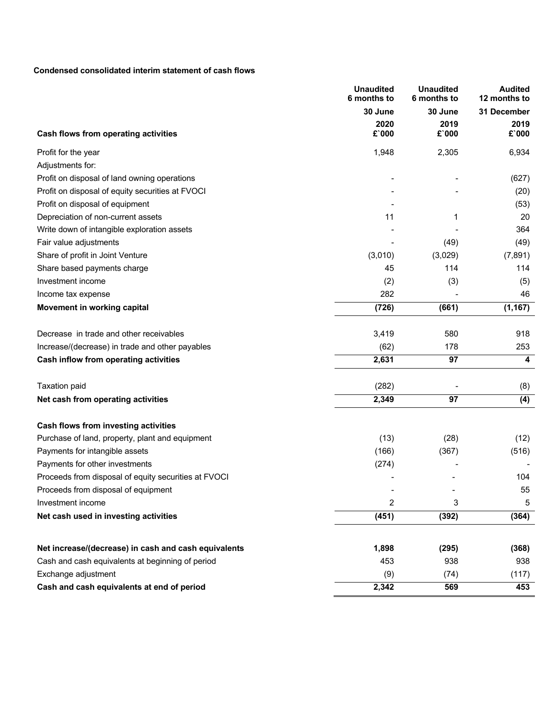### **Condensed consolidated interim statement of cash flows**

| 30 June<br>30 June<br>31 December<br>2020<br>2019<br>2019<br>$£$ `000<br>$£$ 000<br>$£$ `000<br><b>Cash flows from operating activities</b><br>1,948<br>2,305<br>6,934<br>Profit for the year<br>Adjustments for:<br>Profit on disposal of land owning operations<br>(627)<br>Profit on disposal of equity securities at FVOCI<br>(20)<br>Profit on disposal of equipment<br>(53)<br>20<br>Depreciation of non-current assets<br>11<br>1<br>364<br>Write down of intangible exploration assets<br>Fair value adjustments<br>(49)<br>(49)<br>Share of profit in Joint Venture<br>(3,010)<br>(3,029)<br>(7, 891)<br>114<br>114<br>Share based payments charge<br>45<br>(2)<br>(3)<br>Investment income<br>(5)<br>282<br>46<br>Income tax expense<br>(726)<br>(1, 167)<br>Movement in working capital<br>(661)<br>3,419<br>580<br>Decrease in trade and other receivables<br>918<br>(62)<br>178<br>253<br>Increase/(decrease) in trade and other payables<br>2,631<br>97<br>Cash inflow from operating activities<br>4<br>(282)<br><b>Taxation paid</b><br>(8)<br>2,349<br>97<br>(4)<br>Net cash from operating activities<br>Cash flows from investing activities<br>(13)<br>Purchase of land, property, plant and equipment<br>(28)<br>(12)<br>(367)<br>Payments for intangible assets<br>(166)<br>(516)<br>Payments for other investments<br>(274)<br>Proceeds from disposal of equity securities at FVOCI<br>104<br>55<br>Proceeds from disposal of equipment<br>$\overline{c}$<br>3<br>Investment income<br>5<br>(451)<br>Net cash used in investing activities<br>(392)<br>(364)<br>1,898<br>(368) |                                                                                                                                 | <b>Unaudited</b><br>6 months to | <b>Unaudited</b><br>6 months to | <b>Audited</b><br>12 months to |
|-------------------------------------------------------------------------------------------------------------------------------------------------------------------------------------------------------------------------------------------------------------------------------------------------------------------------------------------------------------------------------------------------------------------------------------------------------------------------------------------------------------------------------------------------------------------------------------------------------------------------------------------------------------------------------------------------------------------------------------------------------------------------------------------------------------------------------------------------------------------------------------------------------------------------------------------------------------------------------------------------------------------------------------------------------------------------------------------------------------------------------------------------------------------------------------------------------------------------------------------------------------------------------------------------------------------------------------------------------------------------------------------------------------------------------------------------------------------------------------------------------------------------------------------------------------------------------------------------------|---------------------------------------------------------------------------------------------------------------------------------|---------------------------------|---------------------------------|--------------------------------|
|                                                                                                                                                                                                                                                                                                                                                                                                                                                                                                                                                                                                                                                                                                                                                                                                                                                                                                                                                                                                                                                                                                                                                                                                                                                                                                                                                                                                                                                                                                                                                                                                       |                                                                                                                                 |                                 |                                 |                                |
|                                                                                                                                                                                                                                                                                                                                                                                                                                                                                                                                                                                                                                                                                                                                                                                                                                                                                                                                                                                                                                                                                                                                                                                                                                                                                                                                                                                                                                                                                                                                                                                                       | Net increase/(decrease) in cash and cash equivalents<br>Cash and cash equivalents at beginning of period<br>Exchange adjustment |                                 |                                 |                                |
|                                                                                                                                                                                                                                                                                                                                                                                                                                                                                                                                                                                                                                                                                                                                                                                                                                                                                                                                                                                                                                                                                                                                                                                                                                                                                                                                                                                                                                                                                                                                                                                                       |                                                                                                                                 |                                 |                                 |                                |
|                                                                                                                                                                                                                                                                                                                                                                                                                                                                                                                                                                                                                                                                                                                                                                                                                                                                                                                                                                                                                                                                                                                                                                                                                                                                                                                                                                                                                                                                                                                                                                                                       |                                                                                                                                 |                                 |                                 |                                |
|                                                                                                                                                                                                                                                                                                                                                                                                                                                                                                                                                                                                                                                                                                                                                                                                                                                                                                                                                                                                                                                                                                                                                                                                                                                                                                                                                                                                                                                                                                                                                                                                       |                                                                                                                                 |                                 |                                 |                                |
|                                                                                                                                                                                                                                                                                                                                                                                                                                                                                                                                                                                                                                                                                                                                                                                                                                                                                                                                                                                                                                                                                                                                                                                                                                                                                                                                                                                                                                                                                                                                                                                                       |                                                                                                                                 |                                 |                                 |                                |
|                                                                                                                                                                                                                                                                                                                                                                                                                                                                                                                                                                                                                                                                                                                                                                                                                                                                                                                                                                                                                                                                                                                                                                                                                                                                                                                                                                                                                                                                                                                                                                                                       |                                                                                                                                 |                                 |                                 |                                |
|                                                                                                                                                                                                                                                                                                                                                                                                                                                                                                                                                                                                                                                                                                                                                                                                                                                                                                                                                                                                                                                                                                                                                                                                                                                                                                                                                                                                                                                                                                                                                                                                       |                                                                                                                                 |                                 |                                 |                                |
|                                                                                                                                                                                                                                                                                                                                                                                                                                                                                                                                                                                                                                                                                                                                                                                                                                                                                                                                                                                                                                                                                                                                                                                                                                                                                                                                                                                                                                                                                                                                                                                                       |                                                                                                                                 |                                 |                                 |                                |
|                                                                                                                                                                                                                                                                                                                                                                                                                                                                                                                                                                                                                                                                                                                                                                                                                                                                                                                                                                                                                                                                                                                                                                                                                                                                                                                                                                                                                                                                                                                                                                                                       |                                                                                                                                 |                                 |                                 |                                |
|                                                                                                                                                                                                                                                                                                                                                                                                                                                                                                                                                                                                                                                                                                                                                                                                                                                                                                                                                                                                                                                                                                                                                                                                                                                                                                                                                                                                                                                                                                                                                                                                       |                                                                                                                                 |                                 |                                 |                                |
|                                                                                                                                                                                                                                                                                                                                                                                                                                                                                                                                                                                                                                                                                                                                                                                                                                                                                                                                                                                                                                                                                                                                                                                                                                                                                                                                                                                                                                                                                                                                                                                                       |                                                                                                                                 |                                 |                                 |                                |
|                                                                                                                                                                                                                                                                                                                                                                                                                                                                                                                                                                                                                                                                                                                                                                                                                                                                                                                                                                                                                                                                                                                                                                                                                                                                                                                                                                                                                                                                                                                                                                                                       |                                                                                                                                 |                                 |                                 |                                |
|                                                                                                                                                                                                                                                                                                                                                                                                                                                                                                                                                                                                                                                                                                                                                                                                                                                                                                                                                                                                                                                                                                                                                                                                                                                                                                                                                                                                                                                                                                                                                                                                       |                                                                                                                                 |                                 |                                 |                                |
|                                                                                                                                                                                                                                                                                                                                                                                                                                                                                                                                                                                                                                                                                                                                                                                                                                                                                                                                                                                                                                                                                                                                                                                                                                                                                                                                                                                                                                                                                                                                                                                                       |                                                                                                                                 |                                 |                                 |                                |
|                                                                                                                                                                                                                                                                                                                                                                                                                                                                                                                                                                                                                                                                                                                                                                                                                                                                                                                                                                                                                                                                                                                                                                                                                                                                                                                                                                                                                                                                                                                                                                                                       |                                                                                                                                 |                                 |                                 |                                |
|                                                                                                                                                                                                                                                                                                                                                                                                                                                                                                                                                                                                                                                                                                                                                                                                                                                                                                                                                                                                                                                                                                                                                                                                                                                                                                                                                                                                                                                                                                                                                                                                       |                                                                                                                                 |                                 |                                 |                                |
|                                                                                                                                                                                                                                                                                                                                                                                                                                                                                                                                                                                                                                                                                                                                                                                                                                                                                                                                                                                                                                                                                                                                                                                                                                                                                                                                                                                                                                                                                                                                                                                                       |                                                                                                                                 |                                 |                                 |                                |
|                                                                                                                                                                                                                                                                                                                                                                                                                                                                                                                                                                                                                                                                                                                                                                                                                                                                                                                                                                                                                                                                                                                                                                                                                                                                                                                                                                                                                                                                                                                                                                                                       |                                                                                                                                 |                                 |                                 |                                |
|                                                                                                                                                                                                                                                                                                                                                                                                                                                                                                                                                                                                                                                                                                                                                                                                                                                                                                                                                                                                                                                                                                                                                                                                                                                                                                                                                                                                                                                                                                                                                                                                       |                                                                                                                                 |                                 |                                 |                                |
|                                                                                                                                                                                                                                                                                                                                                                                                                                                                                                                                                                                                                                                                                                                                                                                                                                                                                                                                                                                                                                                                                                                                                                                                                                                                                                                                                                                                                                                                                                                                                                                                       |                                                                                                                                 |                                 |                                 |                                |
|                                                                                                                                                                                                                                                                                                                                                                                                                                                                                                                                                                                                                                                                                                                                                                                                                                                                                                                                                                                                                                                                                                                                                                                                                                                                                                                                                                                                                                                                                                                                                                                                       |                                                                                                                                 |                                 |                                 |                                |
|                                                                                                                                                                                                                                                                                                                                                                                                                                                                                                                                                                                                                                                                                                                                                                                                                                                                                                                                                                                                                                                                                                                                                                                                                                                                                                                                                                                                                                                                                                                                                                                                       |                                                                                                                                 |                                 |                                 |                                |
|                                                                                                                                                                                                                                                                                                                                                                                                                                                                                                                                                                                                                                                                                                                                                                                                                                                                                                                                                                                                                                                                                                                                                                                                                                                                                                                                                                                                                                                                                                                                                                                                       |                                                                                                                                 |                                 |                                 |                                |
|                                                                                                                                                                                                                                                                                                                                                                                                                                                                                                                                                                                                                                                                                                                                                                                                                                                                                                                                                                                                                                                                                                                                                                                                                                                                                                                                                                                                                                                                                                                                                                                                       |                                                                                                                                 |                                 |                                 |                                |
|                                                                                                                                                                                                                                                                                                                                                                                                                                                                                                                                                                                                                                                                                                                                                                                                                                                                                                                                                                                                                                                                                                                                                                                                                                                                                                                                                                                                                                                                                                                                                                                                       |                                                                                                                                 |                                 |                                 |                                |
|                                                                                                                                                                                                                                                                                                                                                                                                                                                                                                                                                                                                                                                                                                                                                                                                                                                                                                                                                                                                                                                                                                                                                                                                                                                                                                                                                                                                                                                                                                                                                                                                       |                                                                                                                                 |                                 |                                 |                                |
|                                                                                                                                                                                                                                                                                                                                                                                                                                                                                                                                                                                                                                                                                                                                                                                                                                                                                                                                                                                                                                                                                                                                                                                                                                                                                                                                                                                                                                                                                                                                                                                                       |                                                                                                                                 |                                 |                                 |                                |
|                                                                                                                                                                                                                                                                                                                                                                                                                                                                                                                                                                                                                                                                                                                                                                                                                                                                                                                                                                                                                                                                                                                                                                                                                                                                                                                                                                                                                                                                                                                                                                                                       |                                                                                                                                 |                                 |                                 |                                |
| 938                                                                                                                                                                                                                                                                                                                                                                                                                                                                                                                                                                                                                                                                                                                                                                                                                                                                                                                                                                                                                                                                                                                                                                                                                                                                                                                                                                                                                                                                                                                                                                                                   |                                                                                                                                 |                                 | (295)                           |                                |
| 453<br>938<br>(9)<br>(74)<br>(117)                                                                                                                                                                                                                                                                                                                                                                                                                                                                                                                                                                                                                                                                                                                                                                                                                                                                                                                                                                                                                                                                                                                                                                                                                                                                                                                                                                                                                                                                                                                                                                    |                                                                                                                                 |                                 |                                 |                                |
| Cash and cash equivalents at end of period<br>2,342<br>569<br>453                                                                                                                                                                                                                                                                                                                                                                                                                                                                                                                                                                                                                                                                                                                                                                                                                                                                                                                                                                                                                                                                                                                                                                                                                                                                                                                                                                                                                                                                                                                                     |                                                                                                                                 |                                 |                                 |                                |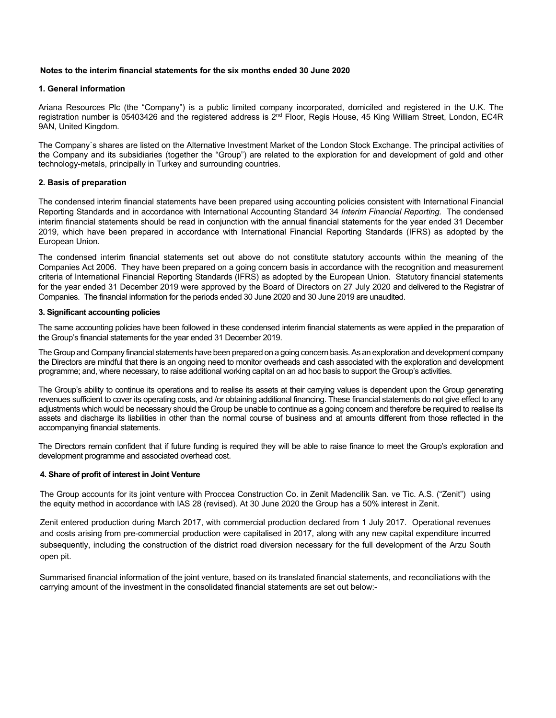#### **Notes to the interim financial statements for the six months ended 30 June 2020**

#### **1. General information**

Ariana Resources Plc (the "Company") is a public limited company incorporated, domiciled and registered in the U.K. The registration number is 05403426 and the registered address is 2<sup>nd</sup> Floor, Regis House, 45 King William Street, London, EC4R 9AN, United Kingdom.

The Company`s shares are listed on the Alternative Investment Market of the London Stock Exchange. The principal activities of the Company and its subsidiaries (together the "Group") are related to the exploration for and development of gold and other technology-metals, principally in Turkey and surrounding countries.

#### **2. Basis of preparation**

The condensed interim financial statements have been prepared using accounting policies consistent with International Financial Reporting Standards and in accordance with International Accounting Standard 34 *Interim Financial Reporting.* The condensed interim financial statements should be read in conjunction with the annual financial statements for the year ended 31 December 2019, which have been prepared in accordance with International Financial Reporting Standards (IFRS) as adopted by the European Union.

The condensed interim financial statements set out above do not constitute statutory accounts within the meaning of the Companies Act 2006. They have been prepared on a going concern basis in accordance with the recognition and measurement criteria of International Financial Reporting Standards (IFRS) as adopted by the European Union. Statutory financial statements for the year ended 31 December 2019 were approved by the Board of Directors on 27 July 2020 and delivered to the Registrar of Companies. The financial information for the periods ended 30 June 2020 and 30 June 2019 are unaudited.

#### **3. Significant accounting policies**

The same accounting policies have been followed in these condensed interim financial statements as were applied in the preparation of the Group's financial statements for the year ended 31 December 2019.

The Group and Company financial statements have been prepared on a going concern basis. As an exploration and development company the Directors are mindful that there is an ongoing need to monitor overheads and cash associated with the exploration and development programme; and, where necessary, to raise additional working capital on an ad hoc basis to support the Group's activities.

The Group's ability to continue its operations and to realise its assets at their carrying values is dependent upon the Group generating revenues sufficient to cover its operating costs, and /or obtaining additional financing. These financial statements do not give effect to any adjustments which would be necessary should the Group be unable to continue as a going concern and therefore be required to realise its assets and discharge its liabilities in other than the normal course of business and at amounts different from those reflected in the accompanying financial statements.

The Directors remain confident that if future funding is required they will be able to raise finance to meet the Group's exploration and development programme and associated overhead cost.

#### **4. Share of profit of interest in Joint Venture**

The Group accounts for its joint venture with Proccea Construction Co. in Zenit Madencilik San. ve Tic. A.S. ("Zenit") using the equity method in accordance with IAS 28 (revised). At 30 June 2020 the Group has a 50% interest in Zenit.

Zenit entered production during March 2017, with commercial production declared from 1 July 2017. Operational revenues and costs arising from pre-commercial production were capitalised in 2017, along with any new capital expenditure incurred subsequently, including the construction of the district road diversion necessary for the full development of the Arzu South open pit.

Summarised financial information of the joint venture, based on its translated financial statements, and reconciliations with the carrying amount of the investment in the consolidated financial statements are set out below:-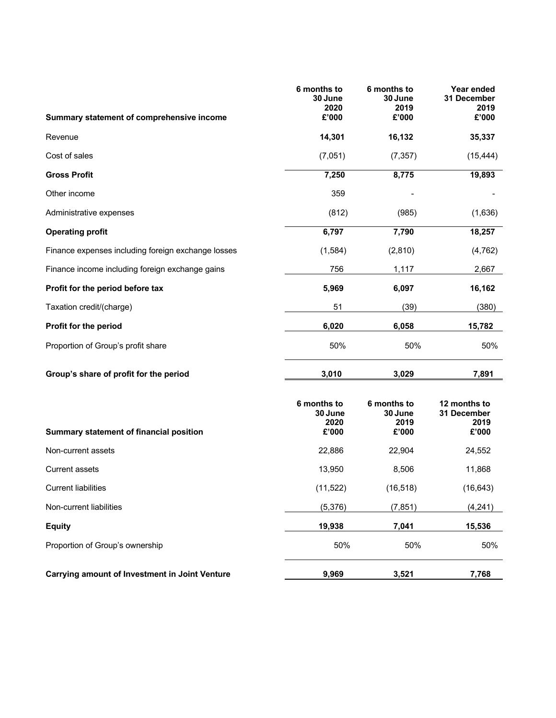| Summary statement of comprehensive income             | 6 months to<br>30 June<br>2020<br>£'000 | 6 months to<br>30 June<br>2019<br>£'000 | Year ended<br>31 December<br>2019<br>£'000   |
|-------------------------------------------------------|-----------------------------------------|-----------------------------------------|----------------------------------------------|
| Revenue                                               | 14,301                                  | 16,132                                  | 35,337                                       |
| Cost of sales                                         | (7,051)                                 | (7, 357)                                | (15, 444)                                    |
| <b>Gross Profit</b>                                   | 7,250                                   | 8,775                                   | 19,893                                       |
| Other income                                          | 359                                     |                                         |                                              |
| Administrative expenses                               | (812)                                   | (985)                                   | (1,636)                                      |
| <b>Operating profit</b>                               | 6,797                                   | 7,790                                   | 18,257                                       |
| Finance expenses including foreign exchange losses    | (1,584)                                 | (2,810)                                 | (4, 762)                                     |
| Finance income including foreign exchange gains       | 756                                     | 1,117                                   | 2,667                                        |
| Profit for the period before tax                      | 5,969                                   | 6,097                                   | 16,162                                       |
| Taxation credit/(charge)                              | 51                                      | (39)                                    | (380)                                        |
| Profit for the period                                 | 6,020                                   | 6,058                                   | 15,782                                       |
| Proportion of Group's profit share                    | 50%                                     | 50%                                     | 50%                                          |
| Group's share of profit for the period                | 3,010                                   | 3,029                                   | 7,891                                        |
| Summary statement of financial position               | 6 months to<br>30 June<br>2020<br>£'000 | 6 months to<br>30 June<br>2019<br>£'000 | 12 months to<br>31 December<br>2019<br>£'000 |
| Non-current assets                                    | 22,886                                  | 22,904                                  | 24,552                                       |
| <b>Current assets</b>                                 | 13,950                                  | 8,506                                   | 11,868                                       |
| <b>Current liabilities</b>                            | (11, 522)                               | (16, 518)                               | (16, 643)                                    |
| Non-current liabilities                               | (5,376)                                 | (7, 851)                                | (4, 241)                                     |
| <b>Equity</b>                                         | 19,938                                  | 7,041                                   | 15,536                                       |
| Proportion of Group's ownership                       | 50%                                     | 50%                                     | 50%                                          |
| <b>Carrying amount of Investment in Joint Venture</b> | 9,969                                   | 3,521                                   | 7,768                                        |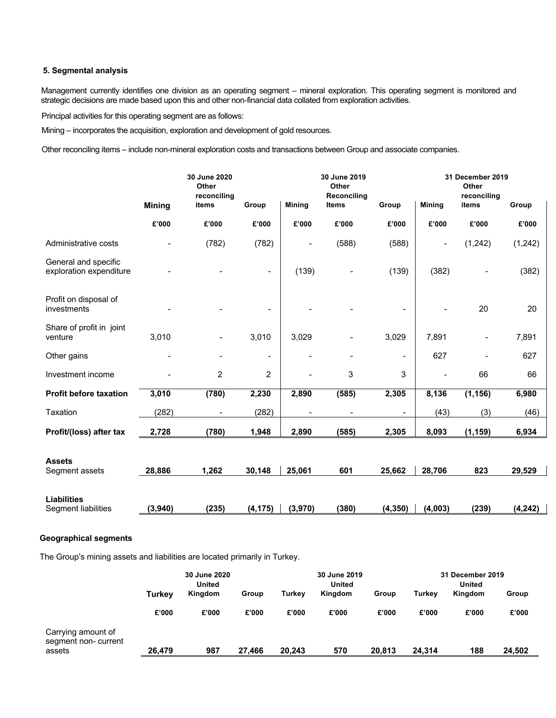### **5. Segmental analysis**

Management currently identifies one division as an operating segment – mineral exploration. This operating segment is monitored and strategic decisions are made based upon this and other non-financial data collated from exploration activities.

Principal activities for this operating segment are as follows:

Mining – incorporates the acquisition, exploration and development of gold resources.

Other reconciling items – include non-mineral exploration costs and transactions between Group and associate companies.

|                                                 |               | 30 June 2020<br>Other<br>reconciling | 30 June 2019<br>Other<br>Reconciling |                |                          | 31 December 2019<br>Other<br>reconciling |               |                |          |
|-------------------------------------------------|---------------|--------------------------------------|--------------------------------------|----------------|--------------------------|------------------------------------------|---------------|----------------|----------|
|                                                 | <b>Mining</b> | items                                | Group                                | <b>Mining</b>  | <b>Items</b>             | Group                                    | <b>Mining</b> | items          | Group    |
|                                                 | £'000         | £'000                                | £'000                                | £'000          | £'000                    | £'000                                    | £'000         | £'000          | £'000    |
| Administrative costs                            |               | (782)                                | (782)                                |                | (588)                    | (588)                                    |               | (1,242)        | (1,242)  |
| General and specific<br>exploration expenditure |               |                                      |                                      | (139)          |                          | (139)                                    | (382)         |                | (382)    |
| Profit on disposal of<br>investments            |               |                                      |                                      |                |                          |                                          |               | 20             | 20       |
| Share of profit in joint<br>venture             | 3,010         |                                      | 3,010                                | 3,029          |                          | 3,029                                    | 7,891         | $\overline{a}$ | 7,891    |
| Other gains                                     |               |                                      | $\overline{\phantom{a}}$             | $\overline{a}$ | $\overline{\phantom{a}}$ | $\blacksquare$                           | 627           |                | 627      |
| Investment income                               |               | 2                                    | $\overline{2}$                       | $\overline{a}$ | 3                        | 3                                        | ۰             | 66             | 66       |
| <b>Profit before taxation</b>                   | 3,010         | (780)                                | 2,230                                | 2,890          | (585)                    | 2,305                                    | 8,136         | (1, 156)       | 6,980    |
| Taxation                                        | (282)         | $\blacksquare$                       | (282)                                | $\blacksquare$ | $\overline{a}$           | $\blacksquare$                           | (43)          | (3)            | (46)     |
| Profit/(loss) after tax                         | 2,728         | (780)                                | 1,948                                | 2,890          | (585)                    | 2,305                                    | 8,093         | (1, 159)       | 6,934    |
| <b>Assets</b><br>Segment assets                 | 28,886        | 1,262                                | 30,148                               | 25,061         | 601                      | 25,662                                   | 28,706        | 823            | 29,529   |
|                                                 |               |                                      |                                      |                |                          |                                          |               |                |          |
| <b>Liabilities</b><br>Segment liabilities       | (3,940)       | (235)                                | (4, 175)                             | (3,970)        | (380)                    | (4, 350)                                 | (4,003)       | (239)          | (4, 242) |

### **Geographical segments**

The Group's mining assets and liabilities are located primarily in Turkey.

|                                           | 30 June 2020<br><b>United</b> |       |        | 30 June 2019<br><b>United</b> |                            |        | 31 December 2019 |         |        |
|-------------------------------------------|-------------------------------|-------|--------|-------------------------------|----------------------------|--------|------------------|---------|--------|
|                                           |                               |       |        |                               |                            |        |                  | United  |        |
|                                           | Kingdom<br>Turkev             |       | Group  |                               | Kingdom<br>Turkey<br>Group |        | Turkey           | Kingdom | Group  |
|                                           | £'000                         | £'000 | £'000  | £'000                         | £'000                      | £'000  | £'000            | £'000   | £'000  |
| Carrying amount of<br>segment non-current |                               |       |        |                               |                            |        |                  |         |        |
| assets                                    | 26,479                        | 987   | 27,466 | 20,243                        | 570                        | 20,813 | 24,314           | 188     | 24,502 |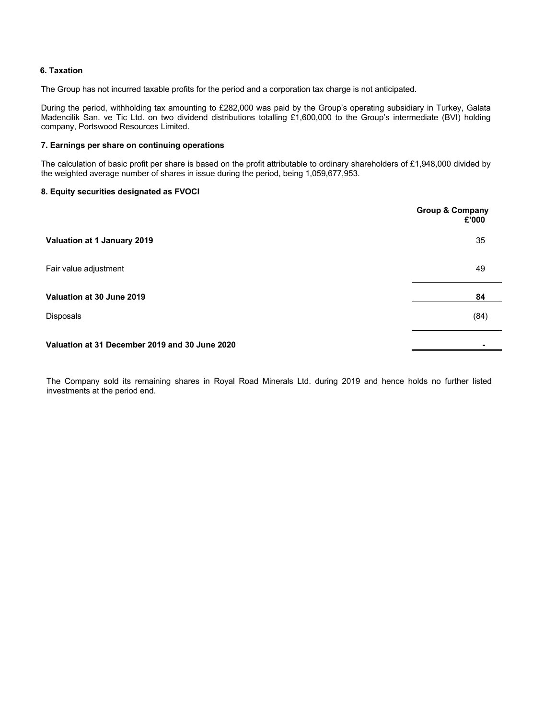### **6. Taxation**

The Group has not incurred taxable profits for the period and a corporation tax charge is not anticipated.

During the period, withholding tax amounting to £282,000 was paid by the Group's operating subsidiary in Turkey, Galata Madencilik San. ve Tic Ltd. on two dividend distributions totalling £1,600,000 to the Group's intermediate (BVI) holding company, Portswood Resources Limited.

#### **7. Earnings per share on continuing operations**

The calculation of basic profit per share is based on the profit attributable to ordinary shareholders of £1,948,000 divided by the weighted average number of shares in issue during the period, being 1,059,677,953.

#### **8. Equity securities designated as FVOCI**

|                                                | <b>Group &amp; Company</b><br>£'000 |
|------------------------------------------------|-------------------------------------|
| Valuation at 1 January 2019                    | 35                                  |
| Fair value adjustment                          | 49                                  |
| Valuation at 30 June 2019                      | 84                                  |
| Disposals                                      | (84)                                |
| Valuation at 31 December 2019 and 30 June 2020 |                                     |

The Company sold its remaining shares in Royal Road Minerals Ltd. during 2019 and hence holds no further listed investments at the period end.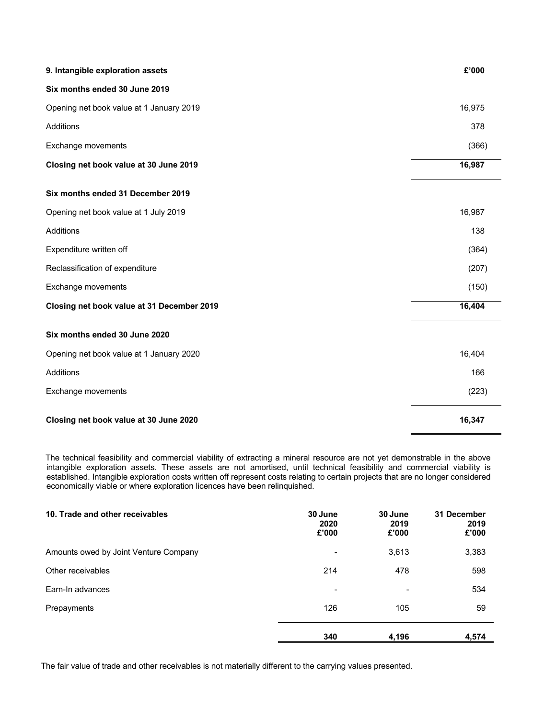| 9. Intangible exploration assets           | £'000  |
|--------------------------------------------|--------|
| Six months ended 30 June 2019              |        |
| Opening net book value at 1 January 2019   | 16,975 |
| Additions                                  | 378    |
| Exchange movements                         | (366)  |
| Closing net book value at 30 June 2019     | 16,987 |
| Six months ended 31 December 2019          |        |
| Opening net book value at 1 July 2019      | 16,987 |
| Additions                                  | 138    |
| Expenditure written off                    | (364)  |
| Reclassification of expenditure            | (207)  |
| Exchange movements                         | (150)  |
| Closing net book value at 31 December 2019 | 16,404 |
| Six months ended 30 June 2020              |        |
| Opening net book value at 1 January 2020   | 16,404 |
| Additions                                  | 166    |
| Exchange movements                         | (223)  |
| Closing net book value at 30 June 2020     | 16,347 |

 The technical feasibility and commercial viability of extracting a mineral resource are not yet demonstrable in the above intangible exploration assets. These assets are not amortised, until technical feasibility and commercial viability is established. Intangible exploration costs written off represent costs relating to certain projects that are no longer considered economically viable or where exploration licences have been relinquished.

| 10. Trade and other receivables       | 30 June<br>2020<br>£'000 | 30 June<br>2019<br>£'000 | 31 December<br>2019<br>£'000 |
|---------------------------------------|--------------------------|--------------------------|------------------------------|
| Amounts owed by Joint Venture Company | $\overline{a}$           | 3,613                    | 3,383                        |
| Other receivables                     | 214                      | 478                      | 598                          |
| Earn-In advances                      | $\overline{\phantom{a}}$ | $\overline{a}$           | 534                          |
| Prepayments                           | 126                      | 105                      | 59                           |
|                                       | 340                      | 4,196                    | 4,574                        |

The fair value of trade and other receivables is not materially different to the carrying values presented.